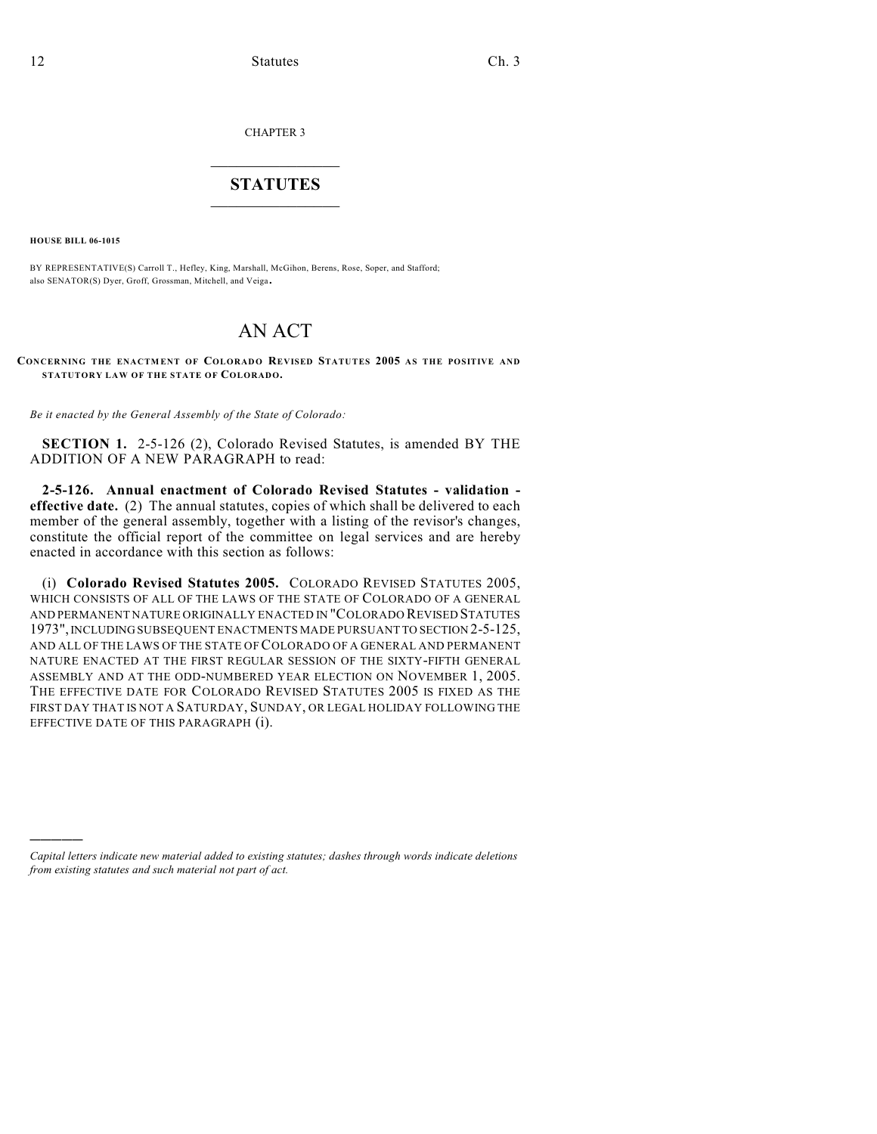CHAPTER 3

## $\mathcal{L}_\text{max}$  . The set of the set of the set of the set of the set of the set of the set of the set of the set of the set of the set of the set of the set of the set of the set of the set of the set of the set of the set **STATUTES**  $\_$   $\_$

**HOUSE BILL 06-1015**

)))))

BY REPRESENTATIVE(S) Carroll T., Hefley, King, Marshall, McGihon, Berens, Rose, Soper, and Stafford; also SENATOR(S) Dyer, Groff, Grossman, Mitchell, and Veiga.

## AN ACT

**CONCERNING THE ENACTMENT OF COLORADO REVISED STATUTES 2005 AS THE POSITIVE AND STATUTORY LAW OF THE STATE OF COLORADO.**

*Be it enacted by the General Assembly of the State of Colorado:*

**SECTION 1.** 2-5-126 (2), Colorado Revised Statutes, is amended BY THE ADDITION OF A NEW PARAGRAPH to read:

**2-5-126. Annual enactment of Colorado Revised Statutes - validation effective date.** (2) The annual statutes, copies of which shall be delivered to each member of the general assembly, together with a listing of the revisor's changes, constitute the official report of the committee on legal services and are hereby enacted in accordance with this section as follows:

(i) **Colorado Revised Statutes 2005.** COLORADO REVISED STATUTES 2005, WHICH CONSISTS OF ALL OF THE LAWS OF THE STATE OF COLORADO OF A GENERAL AND PERMANENT NATURE ORIGINALLY ENACTED IN "COLORADO REVISED STATUTES 1973", INCLUDING SUBSEQUENT ENACTMENTS MADE PURSUANT TO SECTION 2-5-125, AND ALL OF THE LAWS OF THE STATE OF COLORADO OF A GENERAL AND PERMANENT NATURE ENACTED AT THE FIRST REGULAR SESSION OF THE SIXTY-FIFTH GENERAL ASSEMBLY AND AT THE ODD-NUMBERED YEAR ELECTION ON NOVEMBER 1, 2005. THE EFFECTIVE DATE FOR COLORADO REVISED STATUTES 2005 IS FIXED AS THE FIRST DAY THAT IS NOT A SATURDAY, SUNDAY, OR LEGAL HOLIDAY FOLLOWING THE EFFECTIVE DATE OF THIS PARAGRAPH (i).

*Capital letters indicate new material added to existing statutes; dashes through words indicate deletions from existing statutes and such material not part of act.*